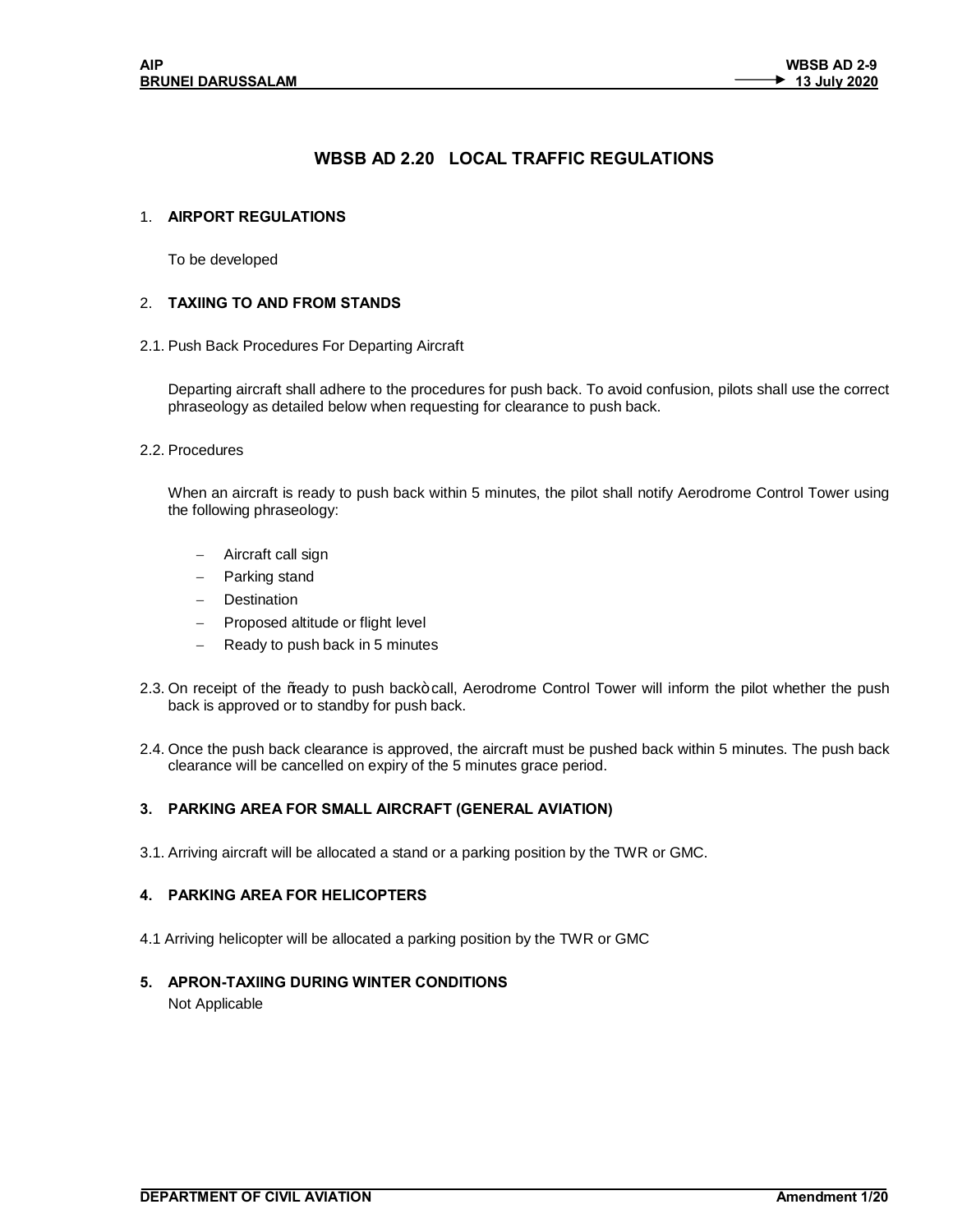# **WBSB AD 2.20 LOCAL TRAFFIC REGULATIONS**

## 1. **AIRPORT REGULATIONS**

To be developed

## 2. **TAXIING TO AND FROM STANDS**

2.1. Push Back Procedures For Departing Aircraft

Departing aircraft shall adhere to the procedures for push back. To avoid confusion, pilots shall use the correct phraseology as detailed below when requesting for clearance to push back.

#### 2.2. Procedures

When an aircraft is ready to push back within 5 minutes, the pilot shall notify Aerodrome Control Tower using the following phraseology:

- Aircraft call sign
- Parking stand
- Destination
- Proposed altitude or flight level
- Ready to push back in 5 minutes
- 2.3. On receipt of the % eady to push back+ call, Aerodrome Control Tower will inform the pilot whether the push back is approved or to standby for push back.
- 2.4. Once the push back clearance is approved, the aircraft must be pushed back within 5 minutes. The push back clearance will be cancelled on expiry of the 5 minutes grace period.

### **3. PARKING AREA FOR SMALL AIRCRAFT (GENERAL AVIATION)**

3.1. Arriving aircraft will be allocated a stand or a parking position by the TWR or GMC.

### **4. PARKING AREA FOR HELICOPTERS**

4.1 Arriving helicopter will be allocated a parking position by the TWR or GMC

### **5. APRON-TAXIING DURING WINTER CONDITIONS**

Not Applicable